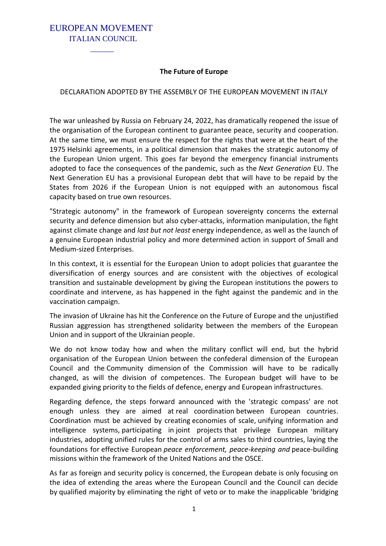### EUROPEAN MOVEMENT ITALIAN COUNCIL

 $\mathcal{L}_\text{max}$  and  $\mathcal{L}_\text{max}$ 

#### **The Future of Europe**

#### DECLARATION ADOPTED BY THE ASSEMBLY OF THE EUROPEAN MOVEMENT IN ITALY

The war unleashed by Russia on February 24, 2022, has dramatically reopened the issue of the organisation of the European continent to guarantee peace, security and cooperation. At the same time, we must ensure the respect for the rights that were at the heart of the 1975 Helsinki agreements, in a political dimension that makes the strategic autonomy of the European Union urgent. This goes far beyond the emergency financial instruments adopted to face the consequences of the pandemic, such as the *Next Generation* EU. The Next Generation EU has a provisional European debt that will have to be repaid by the States from 2026 if the European Union is not equipped with an autonomous fiscal capacity based on true own resources.

"Strategic autonomy" in the framework of European sovereignty concerns the external security and defence dimension but also cyber-attacks, information manipulation, the fight against climate change and *last but not least* energy independence, as well as the launch of a genuine European industrial policy and more determined action in support of Small and Medium-sized Enterprises.

In this context, it is essential for the European Union to adopt policies that guarantee the diversification of energy sources and are consistent with the objectives of ecological transition and sustainable development by giving the European institutions the powers to coordinate and intervene, as has happened in the fight against the pandemic and in the vaccination campaign.

The invasion of Ukraine has hit the Conference on the Future of Europe and the unjustified Russian aggression has strengthened solidarity between the members of the European Union and in support of the Ukrainian people.

We do not know today how and when the military conflict will end, but the hybrid organisation of the European Union between the confederal dimension of the European Council and the Community dimension of the Commission will have to be radically changed, as will the division of competences. The European budget will have to be expanded giving priority to the fields of defence, energy and European infrastructures.

Regarding defence, the steps forward announced with the 'strategic compass' are not enough unless they are aimed at real coordination between European countries. Coordination must be achieved by creating economies of scale, unifying information and intelligence systems, participating in joint projects that privilege European military industries, adopting unified rules for the control of arms sales to third countries, laying the foundations for effective European *peace enforcement, peace-keeping and* peace-building missions within the framework of the United Nations and the OSCE.

As far as foreign and security policy is concerned, the European debate is only focusing on the idea of extending the areas where the European Council and the Council can decide by qualified majority by eliminating the right of veto or to make the inapplicable 'bridging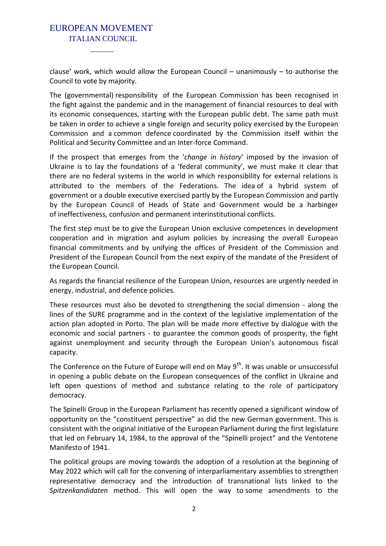# EUROPEAN MOVEMENT ITALIAN COUNCIL

 $\mathcal{L}_\text{max}$  and  $\mathcal{L}_\text{max}$ 

clause' work, which would allow the European Council – unanimously – to authorise the Council to vote by majority.

The (governmental) responsibility of the European Commission has been recognised in the fight against the pandemic and in the management of financial resources to deal with its economic consequences, starting with the European public debt. The same path must be taken in order to achieve a single foreign and security policy exercised by the European Commission and a common defence coordinated by the Commission itself within the Political and Security Committee and an Inter-force Command.

If the prospect that emerges from the '*change in history*' imposed by the invasion of Ukraine is to lay the foundations of a 'federal community', we must make it clear that there are no federal systems in the world in which responsibility for external relations is attributed to the members of the Federations. The idea of a hybrid system of government or a double executive exercised partly by the European Commission and partly by the European Council of Heads of State and Government would be a harbinger of ineffectiveness, confusion and permanent interinstitutional conflicts.

The first step must be to give the European Union exclusive competences in development cooperation and in migration and asylum policies by increasing the overall European financial commitments and by unifying the offices of President of the Commission and President of the European Council from the next expiry of the mandate of the President of the European Council.

As regards the financial resilience of the European Union, resources are urgently needed in energy, industrial, and defence policies.

These resources must also be devoted to strengthening the social dimension - along the lines of the SURE programme and in the context of the legislative implementation of the action plan adopted in Porto. The plan will be made more effective by dialogue with the economic and social partners - to guarantee the common goods of prosperity, the fight against unemployment and security through the European Union's autonomous fiscal capacity.

The Conference on the Future of Europe will end on May  $9^{th}$ . It was unable or unsuccessful in opening a public debate on the European consequences of the conflict in Ukraine and left open questions of method and substance relating to the role of participatory democracy.

The Spinelli Group in the European Parliament has recently opened a significant window of opportunity on the "constituent perspective" as did the new German government. This is consistent with the original initiative of the European Parliament during the first legislature that led on February 14, 1984, to the approval of the "Spinelli project" and the Ventotene Manifesto of 1941.

The political groups are moving towards the adoption of a resolution at the beginning of May 2022 which will call for the convening of interparliamentary assemblies to strengthen representative democracy and the introduction of transnational lists linked to the *Spitzenkandidaten* method. This will open the way to some amendments to the